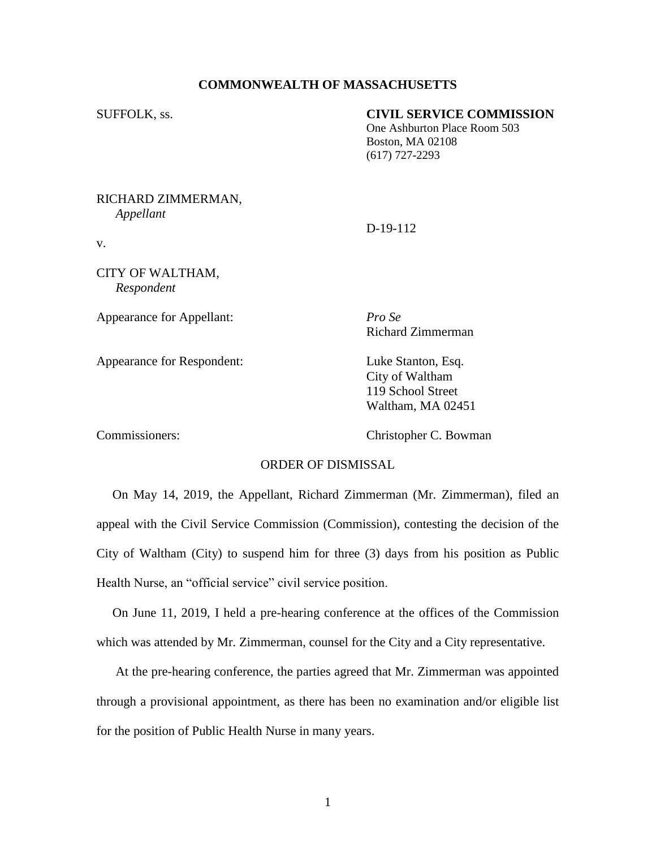## **COMMONWEALTH OF MASSACHUSETTS**

### SUFFOLK, ss. **CIVIL SERVICE COMMISSION**

One Ashburton Place Room 503 Boston, MA 02108 (617) 727-2293

#### RICHARD ZIMMERMAN, *Appellant*

D-19-112

CITY OF WALTHAM, *Respondent*

v.

Appearance for Appellant: *Pro Se*

Appearance for Respondent: Luke Stanton, Esq.

Richard Zimmerman

City of Waltham 119 School Street Waltham, MA 02451

Commissioners: Christopher C. Bowman

# ORDER OF DISMISSAL

 On May 14, 2019, the Appellant, Richard Zimmerman (Mr. Zimmerman), filed an appeal with the Civil Service Commission (Commission), contesting the decision of the City of Waltham (City) to suspend him for three (3) days from his position as Public Health Nurse, an "official service" civil service position.

 On June 11, 2019, I held a pre-hearing conference at the offices of the Commission which was attended by Mr. Zimmerman, counsel for the City and a City representative.

 At the pre-hearing conference, the parties agreed that Mr. Zimmerman was appointed through a provisional appointment, as there has been no examination and/or eligible list for the position of Public Health Nurse in many years.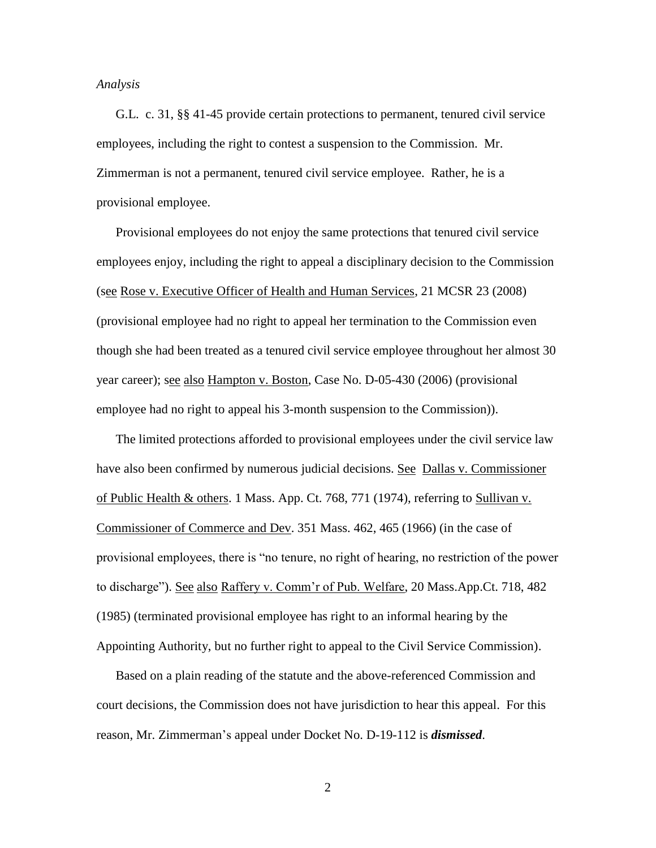*Analysis*

 G.L. c. 31, §§ 41-45 provide certain protections to permanent, tenured civil service employees, including the right to contest a suspension to the Commission. Mr. Zimmerman is not a permanent, tenured civil service employee. Rather, he is a provisional employee.

 Provisional employees do not enjoy the same protections that tenured civil service employees enjoy, including the right to appeal a disciplinary decision to the Commission (see Rose v. Executive Officer of Health and Human Services, 21 MCSR 23 (2008) (provisional employee had no right to appeal her termination to the Commission even though she had been treated as a tenured civil service employee throughout her almost 30 year career); see also Hampton v. Boston, Case No. D-05-430 (2006) (provisional employee had no right to appeal his 3-month suspension to the Commission)).

The limited protections afforded to provisional employees under the civil service law have also been confirmed by numerous judicial decisions. See Dallas v. Commissioner of Public Health & others. 1 Mass. App. Ct. 768, 771 (1974), referring to Sullivan v. Commissioner of Commerce and Dev. 351 Mass. 462, 465 (1966) (in the case of provisional employees, there is "no tenure, no right of hearing, no restriction of the power to discharge"). See also Raffery v. Comm'r of Pub. Welfare, 20 Mass.App.Ct. 718, 482 (1985) (terminated provisional employee has right to an informal hearing by the Appointing Authority, but no further right to appeal to the Civil Service Commission).

Based on a plain reading of the statute and the above-referenced Commission and court decisions, the Commission does not have jurisdiction to hear this appeal. For this reason, Mr. Zimmerman's appeal under Docket No. D-19-112 is *dismissed*.

2